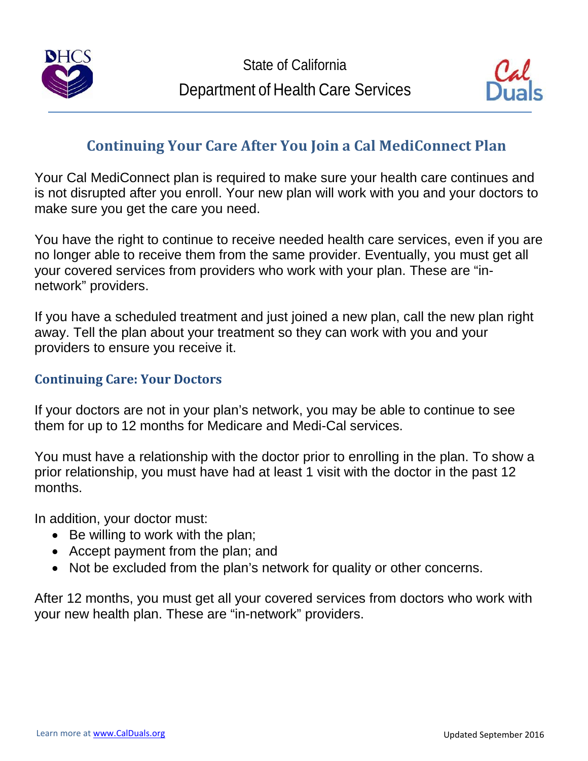



# **Continuing Your Care After You Join a Cal MediConnect Plan**

Your Cal MediConnect plan is required to make sure your health care continues and is not disrupted after you enroll. Your new plan will work with you and your doctors to make sure you get the care you need.

You have the right to continue to receive needed health care services, even if you are no longer able to receive them from the same provider. Eventually, you must get all your covered services from providers who work with your plan. These are "innetwork" providers.

If you have a scheduled treatment and just joined a new plan, call the new plan right away. Tell the plan about your treatment so they can work with you and your providers to ensure you receive it.

### **Continuing Care: Your Doctors**

If your doctors are not in your plan's network, you may be able to continue to see them for up to 12 months for Medicare and Medi-Cal services.

You must have a relationship with the doctor prior to enrolling in the plan. To show a prior relationship, you must have had at least 1 visit with the doctor in the past 12 months.

In addition, your doctor must:

- Be willing to work with the plan;
- Accept payment from the plan; and
- Not be excluded from the plan's network for quality or other concerns.

After 12 months, you must get all your covered services from doctors who work with your new health plan. These are "in-network" providers.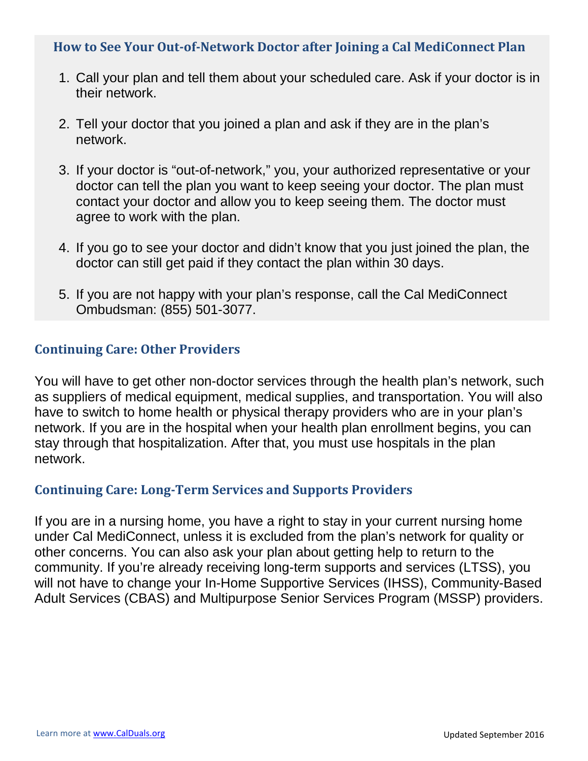#### **How to See Your Out-of-Network Doctor after Joining a Cal MediConnect Plan**

- 1. Call your plan and tell them about your scheduled care. Ask if your doctor is in their network.
- 2. Tell your doctor that you joined a plan and ask if they are in the plan's network.
- 3. If your doctor is "out-of-network," you, your authorized representative or your doctor can tell the plan you want to keep seeing your doctor. The plan must contact your doctor and allow you to keep seeing them. The doctor must agree to work with the plan.
- 4. If you go to see your doctor and didn't know that you just joined the plan, the doctor can still get paid if they contact the plan within 30 days.
- 5. If you are not happy with your plan's response, call the Cal MediConnect Ombudsman: (855) 501-3077.

### **Continuing Care: Other Providers**

You will have to get other non-doctor services through the health plan's network, such as suppliers of medical equipment, medical supplies, and transportation. You will also have to switch to home health or physical therapy providers who are in your plan's network. If you are in the hospital when your health plan enrollment begins, you can stay through that hospitalization. After that, you must use hospitals in the plan network.

#### **Continuing Care: Long-Term Services and Supports Providers**

If you are in a nursing home, you have a right to stay in your current nursing home under Cal MediConnect, unless it is excluded from the plan's network for quality or other concerns. You can also ask your plan about getting help to return to the community. If you're already receiving long-term supports and services (LTSS), you will not have to change your In-Home Supportive Services (IHSS), Community-Based Adult Services (CBAS) and Multipurpose Senior Services Program (MSSP) providers.